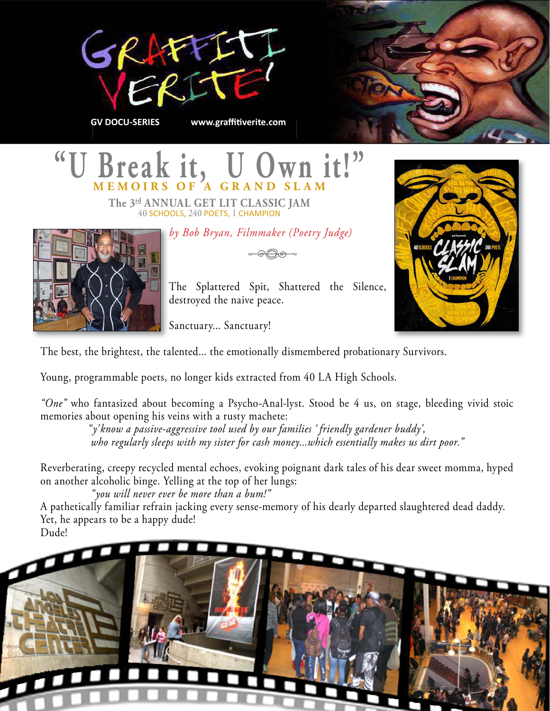



# "U Break it, U Own it!"

**The 3rd ANNUAL GET LIT CLASSIC JAM**  40 SCHOOLS, 240 POETS, 1 CHAMPION

*by Bob Bryan, Filmmaker (Poetry Judge)*



The Splattered Spit, Shattered the Silence, destroyed the naive peace.

Sanctuary... Sanctuary!

The best, the brightest, the talented... the emotionally dismembered probationary Survivors.

Young, programmable poets, no longer kids extracted from 40 LA High Schools.

*"One"* who fantasized about becoming a Psycho-Anal-lyst. Stood be 4 us, on stage, bleeding vivid stoic memories about opening his veins with a rusty machete:

 *"y' know a passive-aggressive tool used by our families ' friendly gardener buddy', who regularly sleeps with my sister for cash money...which essentially makes us dirt poor."*

Reverberating, creepy recycled mental echoes, evoking poignant dark tales of his dear sweet momma, hyped on another alcoholic binge. Yelling at the top of her lungs:

*"you will never ever be more than a bum!"*

A pathetically familiar refrain jacking every sense-memory of his dearly departed slaughtered dead daddy. Yet, he appears to be a happy dude!

Dude!

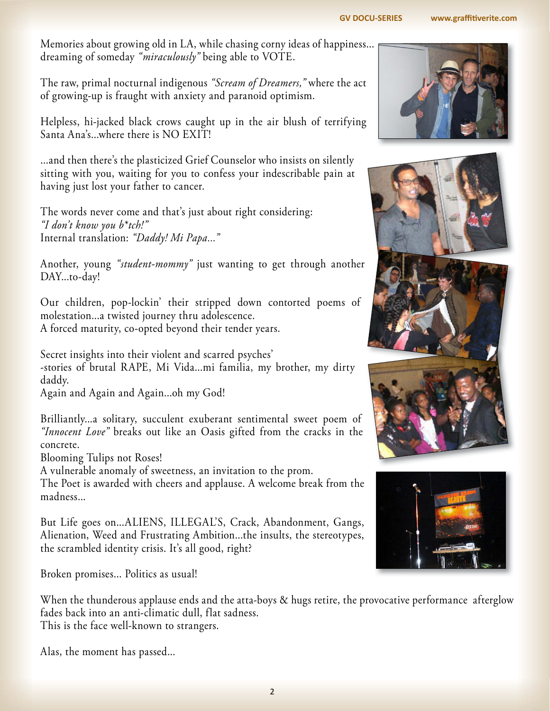#### **[GV DOCU-SERIES www.graffitiverite.com](http://www.graffitiverite.com)**

Memories about growing old in LA, while chasing corny ideas of happiness... dreaming of someday *"miraculously"* being able to VOTE.

The raw, primal nocturnal indigenous *"Scream of Dreamers,"* where the act of growing-up is fraught with anxiety and paranoid optimism.

Helpless, hi-jacked black crows caught up in the air blush of terrifying Santa Ana's...where there is NO EXIT!

...and then there's the plasticized Grief Counselor who insists on silently sitting with you, waiting for you to confess your indescribable pain at having just lost your father to cancer.

The words never come and that's just about right considering: *"I don't know you b\*tch!"* Internal translation: *"Daddy! Mi Papa..."*

Another, young *"student-mommy"* just wanting to get through another DAY...to-day!

Our children, pop-lockin' their stripped down contorted poems of molestation...a twisted journey thru adolescence. A forced maturity, co-opted beyond their tender years.

Secret insights into their violent and scarred psyches' -stories of brutal RAPE, Mi Vida...mi familia, my brother, my dirty daddy.

Again and Again and Again...oh my God!

Brilliantly...a solitary, succulent exuberant sentimental sweet poem of *"Innocent Love"* breaks out like an Oasis gifted from the cracks in the concrete.

Blooming Tulips not Roses!

A vulnerable anomaly of sweetness, an invitation to the prom.

The Poet is awarded with cheers and applause. A welcome break from the madness...

But Life goes on...ALIENS, ILLEGAL'S, Crack, Abandonment, Gangs, Alienation, Weed and Frustrating Ambition...the insults, the stereotypes, the scrambled identity crisis. It's all good, right?

Broken promises... Politics as usual!

When the thunderous applause ends and the atta-boys & hugs retire, the provocative performance afterglow fades back into an anti-climatic dull, flat sadness. This is the face well-known to strangers.

Alas, the moment has passed...